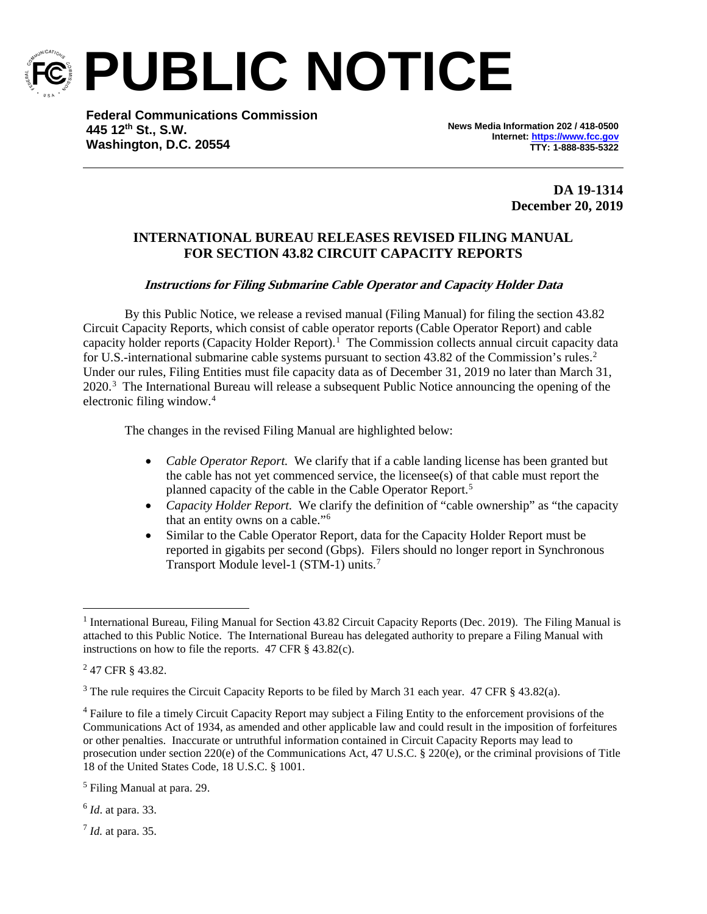

**PUBLIC NOTICE**

**Federal Communications Commission 445 12th St., S.W. Washington, D.C. 20554**

**News Media Information 202 / 418-0500 Internet[: https://www.fcc.gov](https://www.fcc.gov/) TTY: 1-888-835-5322**

> **DA 19-1314 December 20, 2019**

## **INTERNATIONAL BUREAU RELEASES REVISED FILING MANUAL FOR SECTION 43.82 CIRCUIT CAPACITY REPORTS**

## **Instructions for Filing Submarine Cable Operator and Capacity Holder Data**

By this Public Notice, we release a revised manual (Filing Manual) for filing the section 43.82 Circuit Capacity Reports, which consist of cable operator reports (Cable Operator Report) and cable capacity holder reports (Capacity Holder Report).<sup>[1](#page-0-0)</sup> The Commission collects annual circuit capacity data for U.S.-international submarine cable systems pursuant to section 43.8[2](#page-0-1) of the Commission's rules.<sup>2</sup> Under our rules, Filing Entities must file capacity data as of December 31, 2019 no later than March 31, 2020.<sup>[3](#page-0-2)</sup> The International Bureau will release a subsequent Public Notice announcing the opening of the electronic filing window.[4](#page-0-3)

The changes in the revised Filing Manual are highlighted below:

- *Cable Operator Report.* We clarify that if a cable landing license has been granted but the cable has not yet commenced service, the licensee(s) of that cable must report the planned capacity of the cable in the Cable Operator Report.[5](#page-0-4)
- *Capacity Holder Report.* We clarify the definition of "cable ownership" as "the capacity that an entity owns on a cable."[6](#page-0-5)
- Similar to the Cable Operator Report, data for the Capacity Holder Report must be reported in gigabits per second (Gbps). Filers should no longer report in Synchronous Transport Module level-1 (STM-1) units. [7](#page-0-6)

<span id="page-0-5"></span><sup>6</sup> *Id*. at para. 33.

<span id="page-0-6"></span><sup>7</sup> *Id.* at para. 35.

<span id="page-0-0"></span> $1$  International Bureau, Filing Manual for Section 43.82 Circuit Capacity Reports (Dec. 2019). The Filing Manual is attached to this Public Notice. The International Bureau has delegated authority to prepare a Filing Manual with instructions on how to file the reports. 47 CFR § 43.82(c).

<span id="page-0-1"></span><sup>2</sup> 47 CFR § 43.82.

<span id="page-0-2"></span><sup>&</sup>lt;sup>3</sup> The rule requires the Circuit Capacity Reports to be filed by March 31 each year. 47 CFR § 43.82(a).

<span id="page-0-3"></span><sup>4</sup> Failure to file a timely Circuit Capacity Report may subject a Filing Entity to the enforcement provisions of the Communications Act of 1934, as amended and other applicable law and could result in the imposition of forfeitures or other penalties. Inaccurate or untruthful information contained in Circuit Capacity Reports may lead to prosecution under section 220(e) of the Communications Act, 47 U.S.C. § 220(e), or the criminal provisions of Title 18 of the United States Code, 18 U.S.C. § 1001.

<span id="page-0-4"></span><sup>5</sup> Filing Manual at para. 29.